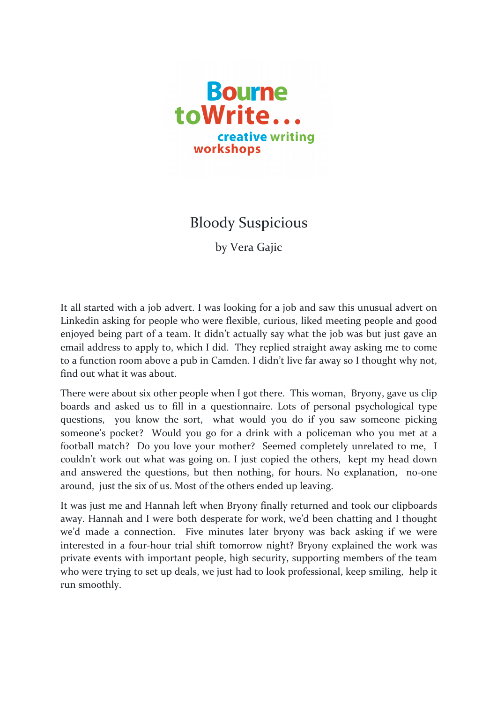

## **Bloody Suspicious**

by Vera Gajic

It all started with a job advert. I was looking for a job and saw this unusual advert on Linkedin asking for people who were flexible, curious, liked meeting people and good enjoyed being part of a team. It didn't actually say what the job was but just gave an email address to apply to, which I did. They replied straight away asking me to come to a function room above a pub in Camden. I didn't live far away so I thought why not, find out what it was about.

There were about six other people when I got there. This woman, Bryony, gave us clip boards and asked us to fill in a questionnaire. Lots of personal psychological type questions, you know the sort, what would you do if you saw someone picking someone's pocket? Would you go for a drink with a policeman who you met at a football match? Do you love your mother? Seemed completely unrelated to me, I couldn't work out what was going on. I just copied the others, kept my head down and answered the questions, but then nothing, for hours. No explanation, no-one around, just the six of us. Most of the others ended up leaving.

It was just me and Hannah left when Bryony finally returned and took our clipboards away. Hannah and I were both desperate for work, we'd been chatting and I thought we'd made a connection. Five minutes later bryony was back asking if we were interested in a four-hour trial shift tomorrow night? Bryony explained the work was private events with important people, high security, supporting members of the team who were trying to set up deals, we just had to look professional, keep smiling, help it run smoothly.